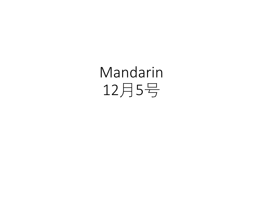Mandarin 12月5号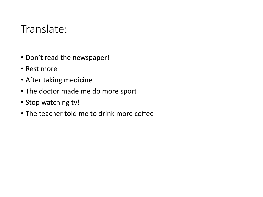## Translate:

- Don't read the newspaper!
- Rest more
- After taking medicine
- The doctor made me do more sport
- Stop watching tv!
- The teacher told me to drink more coffee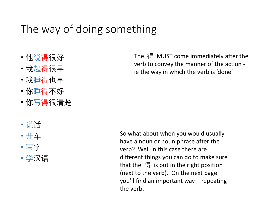## The way of doing something

- 他说得很好
- 我起得很早
- 我睡得也早
- 你睡得不好
- 你写得很清楚
- 说话
- 开车
- 写字
- 学汉语

The 得 MUST come immediately after the verb to convey the manner of the action ie the way in which the verb is 'done'

So what about when you would usually have a noun or noun phrase after the verb? Well in this case there are different things you can do to make sure that the 得 is put in the right position (next to the verb). On the next page you'll find an important way – repeating the verb.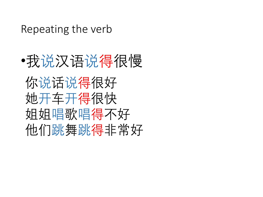Repeating the verb

•我说汉语说得很慢 你说话说得很好 她开车开得很快 姐姐唱歌唱得不好 他们跳舞跳得非常好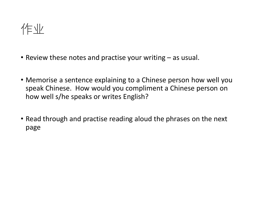作业

- Review these notes and practise your writing as usual.
- Memorise a sentence explaining to a Chinese person how well you speak Chinese. How would you compliment a Chinese person on how well s/he speaks or writes English?
- Read through and practise reading aloud the phrases on the next page